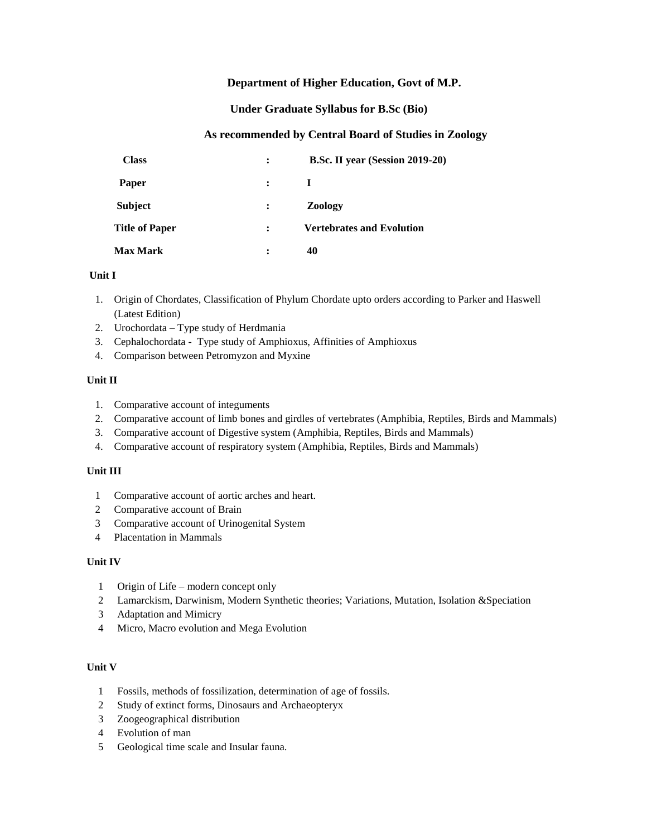## **Department of Higher Education, Govt of M.P.**

### **Under Graduate Syllabus for B.Sc (Bio)**

## **As recommended by Central Board of Studies in Zoology**

| <b>Class</b>          | $\ddot{\cdot}$       | B.Sc. II year (Session 2019-20)  |
|-----------------------|----------------------|----------------------------------|
| Paper                 | $\cdot$              | Ι.                               |
| <b>Subject</b>        | $\ddot{\cdot}$       | <b>Zoology</b>                   |
| <b>Title of Paper</b> | $\ddot{\phantom{a}}$ | <b>Vertebrates and Evolution</b> |
| <b>Max Mark</b>       | :                    | 40                               |

### **Unit I**

- 1. Origin of Chordates, Classification of Phylum Chordate upto orders according to Parker and Haswell (Latest Edition)
- 2. Urochordata Type study of Herdmania
- 3. Cephalochordata Type study of Amphioxus, Affinities of Amphioxus
- 4. Comparison between Petromyzon and Myxine

### **Unit II**

- 1. Comparative account of integuments
- 2. Comparative account of limb bones and girdles of vertebrates (Amphibia, Reptiles, Birds and Mammals)
- 3. Comparative account of Digestive system (Amphibia, Reptiles, Birds and Mammals)
- 4. Comparative account of respiratory system (Amphibia, Reptiles, Birds and Mammals)

### **Unit III**

- 1 Comparative account of aortic arches and heart.
- 2 Comparative account of Brain
- 3 Comparative account of Urinogenital System
- 4 Placentation in Mammals

#### **Unit IV**

- 1 Origin of Life modern concept only
- 2 Lamarckism, Darwinism, Modern Synthetic theories; Variations, Mutation, Isolation &Speciation
- 3 Adaptation and Mimicry
- 4 Micro, Macro evolution and Mega Evolution

#### **Unit V**

- 1 Fossils, methods of fossilization, determination of age of fossils.
- 2 Study of extinct forms, Dinosaurs and Archaeopteryx
- 3 Zoogeographical distribution
- 4 Evolution of man
- 5 Geological time scale and Insular fauna.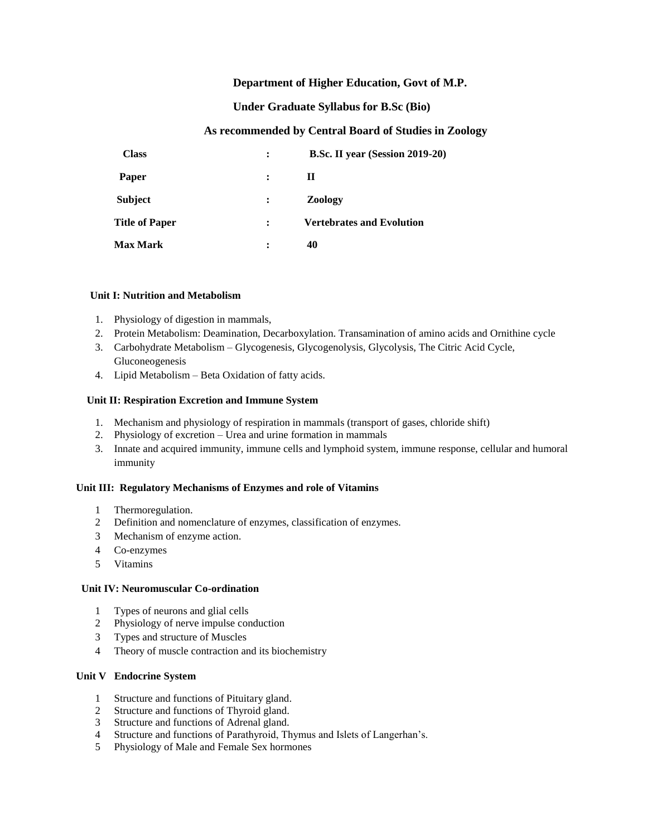## **Department of Higher Education, Govt of M.P.**

### **Under Graduate Syllabus for B.Sc (Bio)**

## **As recommended by Central Board of Studies in Zoology**

| <b>Class</b>          | $\ddot{\phantom{a}}$ | B.Sc. II year (Session 2019-20)  |
|-----------------------|----------------------|----------------------------------|
| <b>Paper</b>          | $\ddot{\phantom{a}}$ | П                                |
| <b>Subject</b>        | $\ddot{\cdot}$       | <b>Zoology</b>                   |
| <b>Title of Paper</b> | $\ddot{\phantom{a}}$ | <b>Vertebrates and Evolution</b> |
| <b>Max Mark</b>       | :                    | 40                               |

#### **Unit I: Nutrition and Metabolism**

- 1. Physiology of digestion in mammals,
- 2. Protein Metabolism: Deamination, Decarboxylation. Transamination of amino acids and Ornithine cycle
- 3. Carbohydrate Metabolism Glycogenesis, Glycogenolysis, Glycolysis, The Citric Acid Cycle, Gluconeogenesis
- 4. Lipid Metabolism Beta Oxidation of fatty acids.

### **Unit II: Respiration Excretion and Immune System**

- 1. Mechanism and physiology of respiration in mammals (transport of gases, chloride shift)
- 2. Physiology of excretion Urea and urine formation in mammals
- 3. Innate and acquired immunity, immune cells and lymphoid system, immune response, cellular and humoral immunity

#### **Unit III: Regulatory Mechanisms of Enzymes and role of Vitamins**

- 1 Thermoregulation.
- 2 Definition and nomenclature of enzymes, classification of enzymes.
- 3 Mechanism of enzyme action.
- 4 Co-enzymes
- 5 Vitamins

#### **Unit IV: Neuromuscular Co-ordination**

- 1 Types of neurons and glial cells
- 2 Physiology of nerve impulse conduction
- 3 Types and structure of Muscles
- 4 Theory of muscle contraction and its biochemistry

#### **Unit V Endocrine System**

- 1 Structure and functions of Pituitary gland.
- 2 Structure and functions of Thyroid gland.
- 3 Structure and functions of Adrenal gland.
- 4 Structure and functions of Parathyroid, Thymus and Islets of Langerhan's.
- 5 Physiology of Male and Female Sex hormones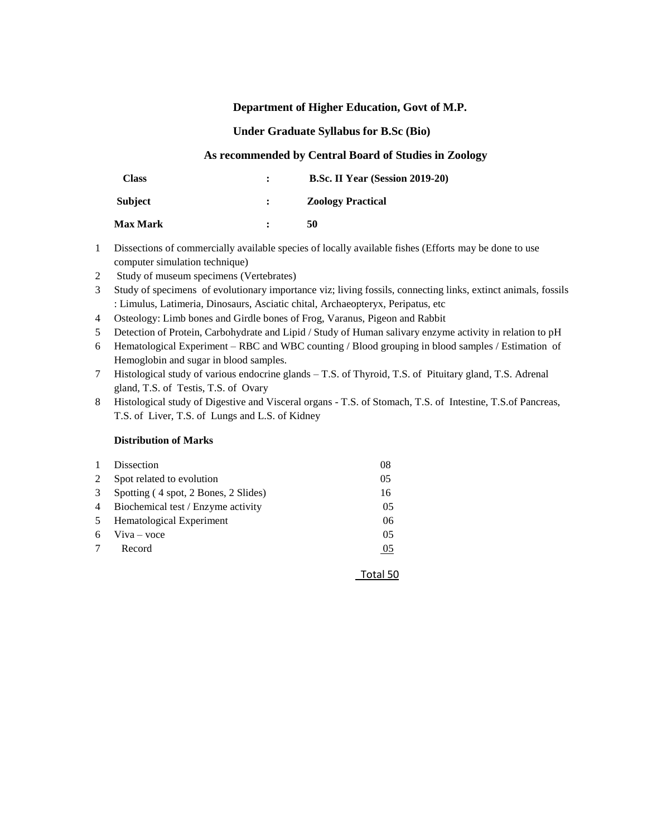### **Department of Higher Education, Govt of M.P.**

### **Under Graduate Syllabus for B.Sc (Bio)**

### **As recommended by Central Board of Studies in Zoology**

| Class           | $\mathbf{r}$ | <b>B.Sc. II Year (Session 2019-20)</b> |
|-----------------|--------------|----------------------------------------|
| <b>Subject</b>  |              | <b>Zoology Practical</b>               |
| <b>Max Mark</b> |              | 50                                     |

- 1 Dissections of commercially available species of locally available fishes (Efforts may be done to use computer simulation technique)
- 2 Study of museum specimens (Vertebrates)
- 3 Study of specimens of evolutionary importance viz; living fossils, connecting links, extinct animals, fossils : Limulus, Latimeria, Dinosaurs, Asciatic chital, Archaeopteryx, Peripatus, etc
- 4 Osteology: Limb bones and Girdle bones of Frog, Varanus, Pigeon and Rabbit
- 5 Detection of Protein, Carbohydrate and Lipid / Study of Human salivary enzyme activity in relation to pH
- 6 Hematological Experiment RBC and WBC counting / Blood grouping in blood samples / Estimation of Hemoglobin and sugar in blood samples.
- 7 Histological study of various endocrine glands T.S. of Thyroid, T.S. of Pituitary gland, T.S. Adrenal gland, T.S. of Testis, T.S. of Ovary
- 8 Histological study of Digestive and Visceral organs T.S. of Stomach, T.S. of Intestine, T.S.of Pancreas, T.S. of Liver, T.S. of Lungs and L.S. of Kidney

Total 50

### **Distribution of Marks**

|   | Dissection                           | 08 |
|---|--------------------------------------|----|
| 2 | Spot related to evolution            | 05 |
| 3 | Spotting (4 spot, 2 Bones, 2 Slides) | 16 |
| 4 | Biochemical test / Enzyme activity   | 05 |
| 5 | Hematological Experiment             | 06 |
| 6 | $V$ iva – voce                       | 05 |
| 7 | Record                               | 05 |
|   |                                      |    |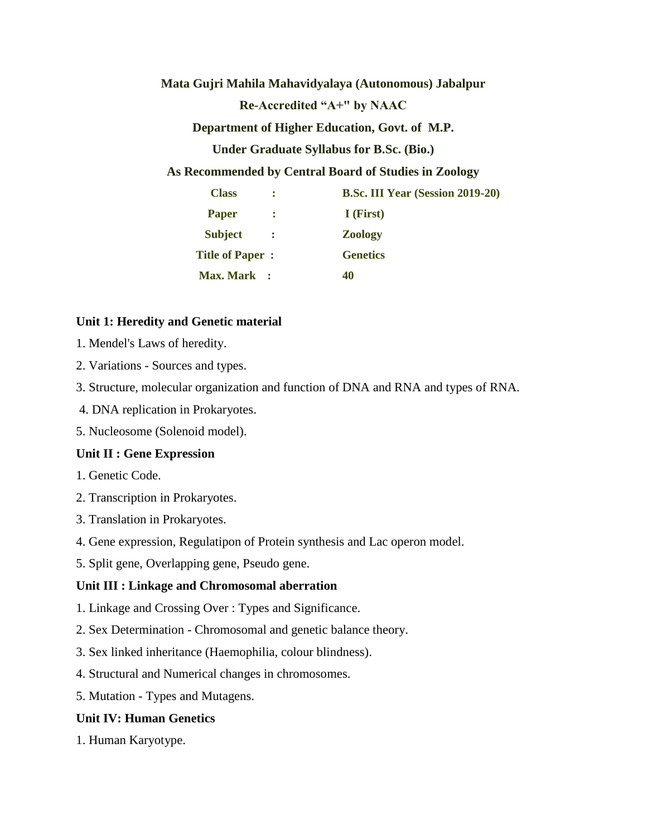**Mata Gujri Mahila Mahavidyalaya (Autonomous) Jabalpur**

**Re-Accredited "A+" by NAAC**

**Department of Higher Education, Govt. of M.P.**

**Under Graduate Syllabus for B.Sc. (Bio.)** 

**As Recommended by Central Board of Studies in Zoology**

| <b>Class</b><br>$\mathbb{R}^n$   |               | <b>B.Sc. III Year (Session 2019-20)</b> |
|----------------------------------|---------------|-----------------------------------------|
| <b>Paper</b>                     | $\mathcal{L}$ | I (First)                               |
| <b>Subject</b><br>$\mathbb{R}^2$ |               | <b>Zoology</b>                          |
| <b>Title of Paper:</b>           |               | <b>Genetics</b>                         |
| <b>Max. Mark</b> :               |               | 40                                      |

# **Unit 1: Heredity and Genetic material**

- 1. Mendel's Laws of heredity.
- 2. Variations Sources and types.
- 3. Structure, molecular organization and function of DNA and RNA and types of RNA.
- 4. DNA replication in Prokaryotes.
- 5. Nucleosome (Solenoid model).

## **Unit II : Gene Expression**

- 1. Genetic Code.
- 2. Transcription in Prokaryotes.
- 3. Translation in Prokaryotes.
- 4. Gene expression, Regulatipon of Protein synthesis and Lac operon model.
- 5. Split gene, Overlapping gene, Pseudo gene.

# **Unit III : Linkage and Chromosomal aberration**

- 1. Linkage and Crossing Over : Types and Significance.
- 2. Sex Determination Chromosomal and genetic balance theory.
- 3. Sex linked inheritance (Haemophilia, colour blindness).
- 4. Structural and Numerical changes in chromosomes.
- 5. Mutation Types and Mutagens.

# **Unit IV: Human Genetics**

1. Human Karyotype.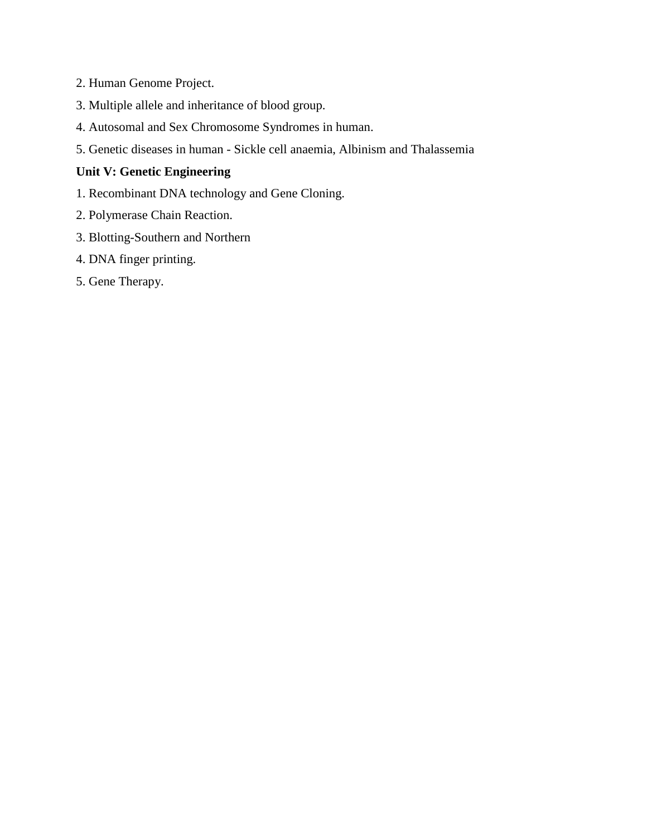- 2. Human Genome Project.
- 3. Multiple allele and inheritance of blood group.
- 4. Autosomal and Sex Chromosome Syndromes in human.
- 5. Genetic diseases in human Sickle cell anaemia, Albinism and Thalassemia

# **Unit V: Genetic Engineering**

- 1. Recombinant DNA technology and Gene Cloning.
- 2. Polymerase Chain Reaction.
- 3. Blotting-Southern and Northern
- 4. DNA finger printing.
- 5. Gene Therapy.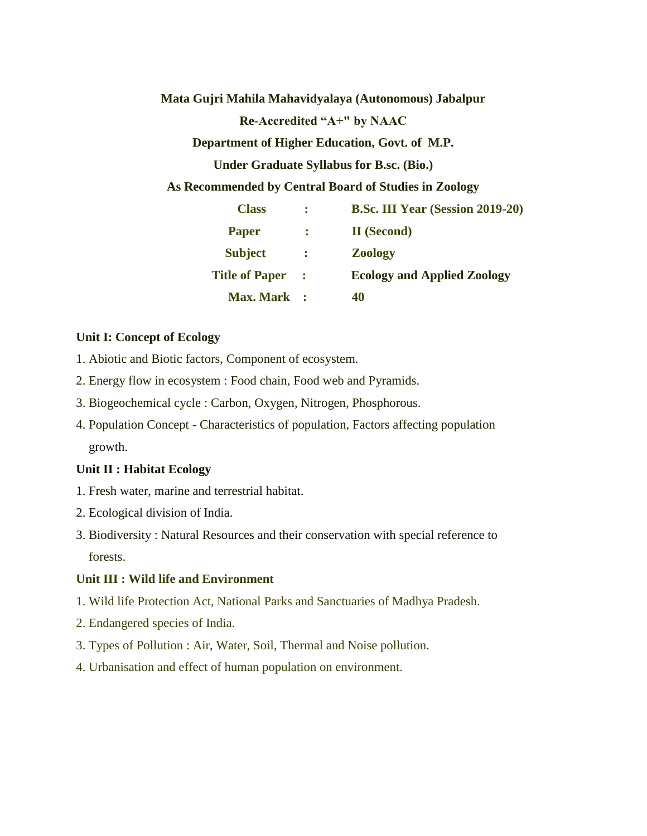**Mata Gujri Mahila Mahavidyalaya (Autonomous) Jabalpur**

**Re-Accredited "A+" by NAAC**

**Department of Higher Education, Govt. of M.P.**

**Under Graduate Syllabus for B.sc. (Bio.)**

**As Recommended by Central Board of Studies in Zoology**

| <b>Class</b>          |                | <b>B.Sc. III Year (Session 2019-20)</b> |
|-----------------------|----------------|-----------------------------------------|
| <b>Paper</b>          | ÷              | <b>II</b> (Second)                      |
| <b>Subject</b>        | $\mathbb{R}^2$ | <b>Zoology</b>                          |
| <b>Title of Paper</b> | ÷              | <b>Ecology and Applied Zoology</b>      |
| <b>Max. Mark</b>      |                | 40                                      |

# **Unit I: Concept of Ecology**

- 1. Abiotic and Biotic factors, Component of ecosystem.
- 2. Energy flow in ecosystem : Food chain, Food web and Pyramids.
- 3. Biogeochemical cycle : Carbon, Oxygen, Nitrogen, Phosphorous.
- 4. Population Concept Characteristics of population, Factors affecting population growth.

## **Unit II : Habitat Ecology**

- 1. Fresh water, marine and terrestrial habitat.
- 2. Ecological division of India.
- 3. Biodiversity : Natural Resources and their conservation with special reference to forests.

# **Unit III : Wild life and Environment**

- 1. Wild life Protection Act, National Parks and Sanctuaries of Madhya Pradesh.
- 2. Endangered species of India.
- 3. Types of Pollution : Air, Water, Soil, Thermal and Noise pollution.
- 4. Urbanisation and effect of human population on environment.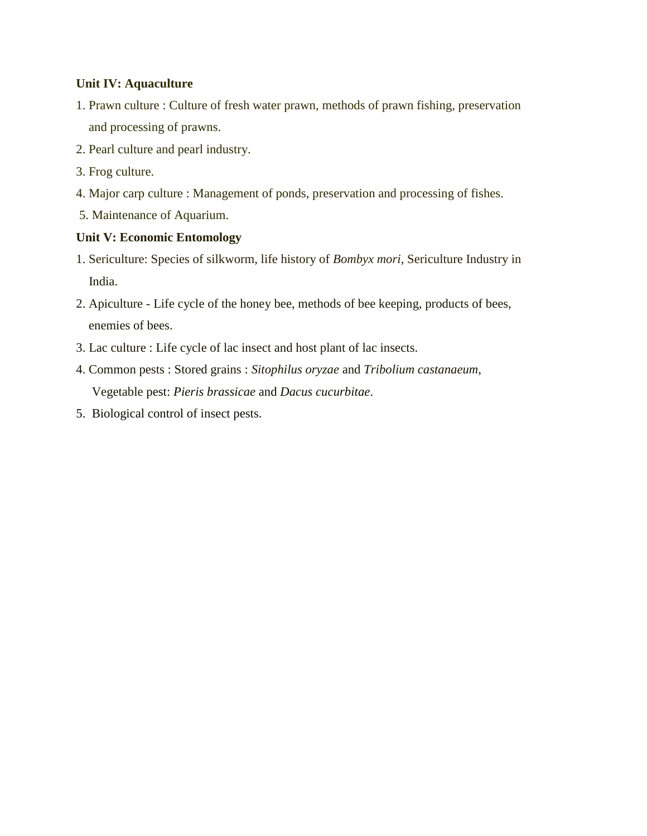# **Unit IV: Aquaculture**

- 1. Prawn culture : Culture of fresh water prawn, methods of prawn fishing, preservation and processing of prawns.
- 2. Pearl culture and pearl industry.
- 3. Frog culture.
- 4. Major carp culture : Management of ponds, preservation and processing of fishes.
- 5. Maintenance of Aquarium.

# **Unit V: Economic Entomology**

- 1. Sericulture: Species of silkworm, life history of *Bombyx mori*, Sericulture Industry in India.
- 2. Apiculture Life cycle of the honey bee, methods of bee keeping, products of bees, enemies of bees.
- 3. Lac culture : Life cycle of lac insect and host plant of lac insects.
- 4. Common pests : Stored grains : *Sitophilus oryzae* and *Tribolium castanaeum*, Vegetable pest: *Pieris brassicae* and *Dacus cucurbitae*.
- 5. Biological control of insect pests.